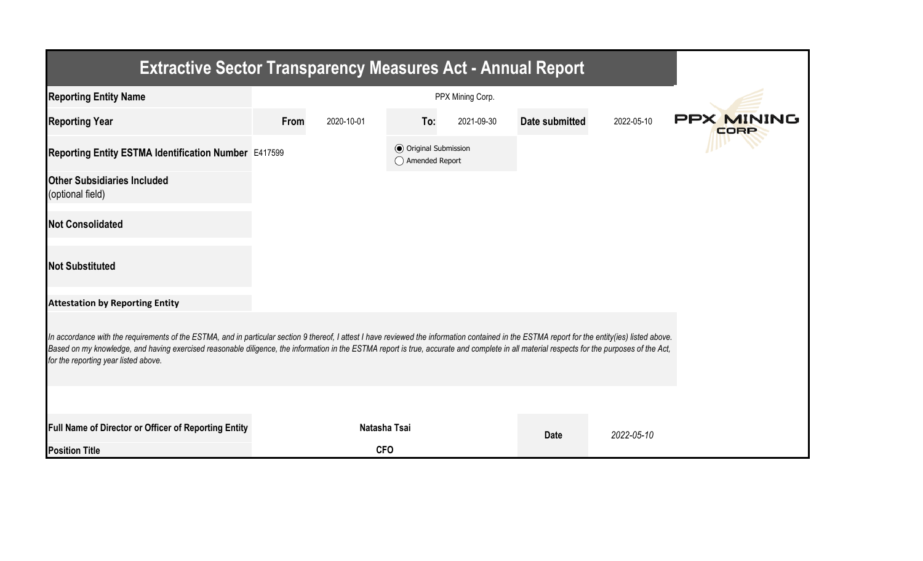| <b>Extractive Sector Transparency Measures Act - Annual Report</b>                                                                                                                                                                                                                                                                                                                                                                    |      |              |                                                  |            |                |            |                    |  |  |  |
|---------------------------------------------------------------------------------------------------------------------------------------------------------------------------------------------------------------------------------------------------------------------------------------------------------------------------------------------------------------------------------------------------------------------------------------|------|--------------|--------------------------------------------------|------------|----------------|------------|--------------------|--|--|--|
| <b>Reporting Entity Name</b>                                                                                                                                                                                                                                                                                                                                                                                                          |      |              |                                                  |            |                |            |                    |  |  |  |
| <b>Reporting Year</b>                                                                                                                                                                                                                                                                                                                                                                                                                 | From | 2020-10-01   | To:                                              | 2021-09-30 | Date submitted | 2022-05-10 | PPX MINING<br>CORP |  |  |  |
| Reporting Entity ESTMA Identification Number E417599                                                                                                                                                                                                                                                                                                                                                                                  |      |              | <b>◎</b> Original Submission<br>◯ Amended Report |            |                |            |                    |  |  |  |
| <b>Other Subsidiaries Included</b><br>(optional field)                                                                                                                                                                                                                                                                                                                                                                                |      |              |                                                  |            |                |            |                    |  |  |  |
| <b>Not Consolidated</b>                                                                                                                                                                                                                                                                                                                                                                                                               |      |              |                                                  |            |                |            |                    |  |  |  |
| <b>Not Substituted</b>                                                                                                                                                                                                                                                                                                                                                                                                                |      |              |                                                  |            |                |            |                    |  |  |  |
| <b>Attestation by Reporting Entity</b>                                                                                                                                                                                                                                                                                                                                                                                                |      |              |                                                  |            |                |            |                    |  |  |  |
| In accordance with the requirements of the ESTMA, and in particular section 9 thereof, I attest I have reviewed the information contained in the ESTMA report for the entity(ies) listed above.<br>Based on my knowledge, and having exercised reasonable diligence, the information in the ESTMA report is true, accurate and complete in all material respects for the purposes of the Act,<br>for the reporting year listed above. |      |              |                                                  |            |                |            |                    |  |  |  |
|                                                                                                                                                                                                                                                                                                                                                                                                                                       |      |              |                                                  |            |                |            |                    |  |  |  |
| Full Name of Director or Officer of Reporting Entity                                                                                                                                                                                                                                                                                                                                                                                  |      | Natasha Tsai |                                                  |            | <b>Date</b>    | 2022-05-10 |                    |  |  |  |
| <b>Position Title</b>                                                                                                                                                                                                                                                                                                                                                                                                                 |      | <b>CFO</b>   |                                                  |            |                |            |                    |  |  |  |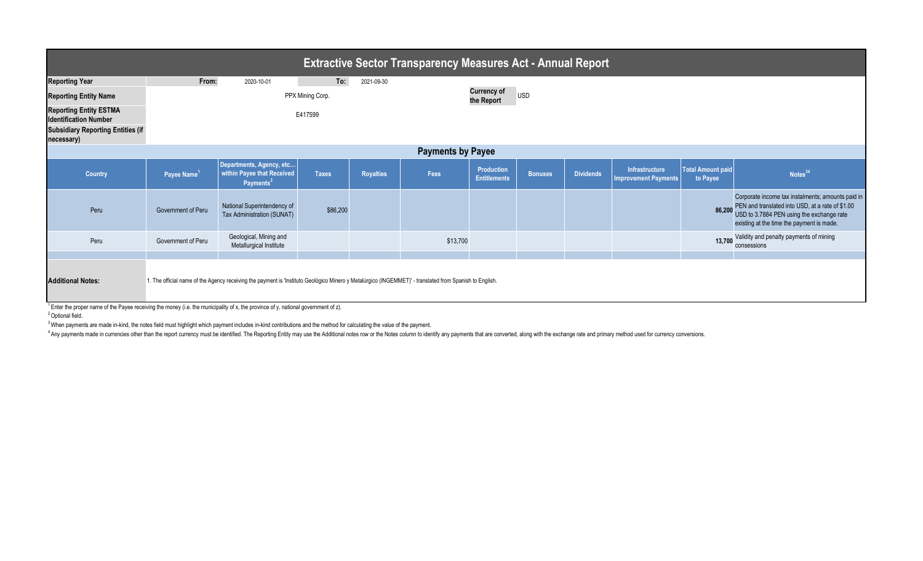| <b>Extractive Sector Transparency Measures Act - Annual Report</b>                                                      |                         |                                                                                                                                                         |                  |                  |          |                                          |                |                  |                                              |                                      |                                                                                                                                                                                                 |
|-------------------------------------------------------------------------------------------------------------------------|-------------------------|---------------------------------------------------------------------------------------------------------------------------------------------------------|------------------|------------------|----------|------------------------------------------|----------------|------------------|----------------------------------------------|--------------------------------------|-------------------------------------------------------------------------------------------------------------------------------------------------------------------------------------------------|
| <b>Reporting Year</b>                                                                                                   | From:                   | 2020-10-01                                                                                                                                              | To:              | 2021-09-30       |          |                                          |                |                  |                                              |                                      |                                                                                                                                                                                                 |
| <b>Reporting Entity Name</b>                                                                                            |                         |                                                                                                                                                         | PPX Mining Corp. |                  |          | <b>Currency of</b><br>the Report         | USD            |                  |                                              |                                      |                                                                                                                                                                                                 |
| <b>Reporting Entity ESTMA</b><br><b>Identification Number</b><br><b>Subsidiary Reporting Entities (if</b><br>necessary) |                         |                                                                                                                                                         | E417599          |                  |          |                                          |                |                  |                                              |                                      |                                                                                                                                                                                                 |
| <b>Payments by Payee</b>                                                                                                |                         |                                                                                                                                                         |                  |                  |          |                                          |                |                  |                                              |                                      |                                                                                                                                                                                                 |
| <b>Country</b>                                                                                                          | Payee Name <sup>1</sup> | Departments, Agency, etc<br>within Payee that Received<br>Payments <sup>2</sup>                                                                         | <b>Taxes</b>     | <b>Royalties</b> | Fees     | <b>Production</b><br><b>Entitlements</b> | <b>Bonuses</b> | <b>Dividends</b> | <b>Infrastructure</b><br>mprovement Payments | <b>Total Amount paid</b><br>to Payee | Notes $34$                                                                                                                                                                                      |
| Peru                                                                                                                    | Government of Peru      | National Superintendency of<br>Tax Administration (SUNAT)                                                                                               | \$86,200         |                  |          |                                          |                |                  |                                              | 86,200                               | Corporate income tax instalments; amounts paid in<br>PEN and translated into USD, at a rate of \$1.00<br>USD to 3.7884 PEN using the exchange rate<br>existing at the time the payment is made. |
| Peru                                                                                                                    | Government of Peru      | Geological, Mining and<br>Metallurgical Institute                                                                                                       |                  |                  | \$13,700 |                                          |                |                  |                                              | 13,700                               | Validity and penalty payments of mining<br>consessions                                                                                                                                          |
|                                                                                                                         |                         |                                                                                                                                                         |                  |                  |          |                                          |                |                  |                                              |                                      |                                                                                                                                                                                                 |
| <b>Additional Notes:</b>                                                                                                |                         | 1. The official name of the Agency receiving the payment is 'Instituto Geológico Minero y Metalúrgico (INGEMMET)' - translated from Spanish to English. |                  |                  |          |                                          |                |                  |                                              |                                      |                                                                                                                                                                                                 |

 $1$  Enter the proper name of the Payee receiving the money (i.e. the municipality of x, the province of y, national government of z).

<sup>2</sup> Optional field.

<sup>3</sup> When payments are made in-kind, the notes field must highlight which payment includes in-kind contributions and the method for calculating the value of the payment.

Any payments made in currencies other than the report currency must be identified. The Reporting Entity may use the Additional notes row or the Notes column to identify any payments that are converted, along with the excha